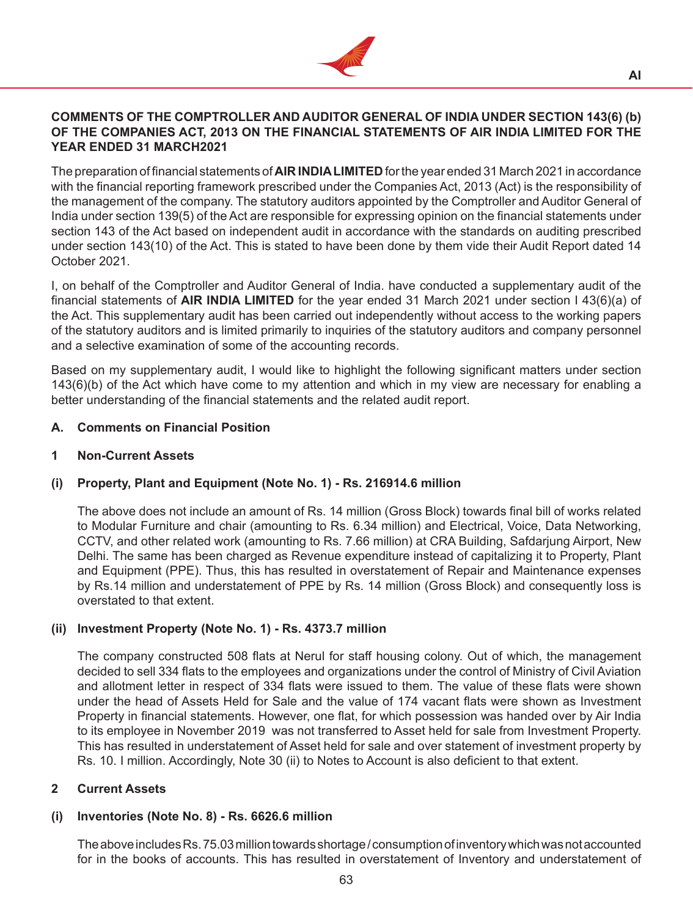

## **COMMENTS OF THE COMPTROLLER AND AUDITOR GENERAL OF INDIA UNDER SECTION 143(6) (b) OF THE COMPANIES ACT, 2013 ON THE FINANCIAL STATEMENTS OF AIR INDIA LIMITED FOR THE YEAR ENDED 31 MARCH2021**

The preparation of financial statements of **AIR INDIA LIMITED** for the year ended 31 March 2021 in accordance with the financial reporting framework prescribed under the Companies Act, 2013 (Act) is the responsibility of the management of the company. The statutory auditors appointed by the Comptroller and Auditor General of India under section 139(5) of the Act are responsible for expressing opinion on the financial statements under section 143 of the Act based on independent audit in accordance with the standards on auditing prescribed under section 143(10) of the Act. This is stated to have been done by them vide their Audit Report dated 14 October 2021.

I, on behalf of the Comptroller and Auditor General of India. have conducted a supplementary audit of the financial statements of **AIR INDIA LIMITED** for the year ended 31 March 2021 under section I 43(6)(a) of the Act. This supplementary audit has been carried out independently without access to the working papers of the statutory auditors and is limited primarily to inquiries of the statutory auditors and company personnel and a selective examination of some of the accounting records.

Based on my supplementary audit, I would like to highlight the following significant matters under section 143(6)(b) of the Act which have come to my attention and which in my view are necessary for enabling a better understanding of the financial statements and the related audit report.

## **A. Comments on Financial Position**

## **1 Non-Current Assets**

## **(i) Property, Plant and Equipment (Note No. 1) - Rs. 216914.6 million**

 The above does not include an amount of Rs. 14 million (Gross Block) towards final bill of works related to Modular Furniture and chair (amounting to Rs. 6.34 million) and Electrical, Voice, Data Networking, CCTV, and other related work (amounting to Rs. 7.66 million) at CRA Building, Safdarjung Airport, New Delhi. The same has been charged as Revenue expenditure instead of capitalizing it to Property, Plant and Equipment (PPE). Thus, this has resulted in overstatement of Repair and Maintenance expenses by Rs.14 million and understatement of PPE by Rs. 14 million (Gross Block) and consequently loss is overstated to that extent.

## **(ii) Investment Property (Note No. 1) - Rs. 4373.7 million**

 The company constructed 508 flats at Nerul for staff housing colony. Out of which, the management decided to sell 334 flats to the employees and organizations under the control of Ministry of Civil Aviation and allotment letter in respect of 334 flats were issued to them. The value of these flats were shown under the head of Assets Held for Sale and the value of 174 vacant flats were shown as Investment Property in financial statements. However, one flat, for which possession was handed over by Air India to its employee in November 2019 was not transferred to Asset held for sale from Investment Property. This has resulted in understatement of Asset held for sale and over statement of investment property by Rs. 10. I million. Accordingly, Note 30 (ii) to Notes to Account is also deficient to that extent.

## **2 Current Assets**

## **(i) Inventories (Note No. 8) - Rs. 6626.6 million**

The above includes Rs. 75.03 million towards shortage/consumption of inventory which was not accounted for in the books of accounts. This has resulted in overstatement of Inventory and understatement of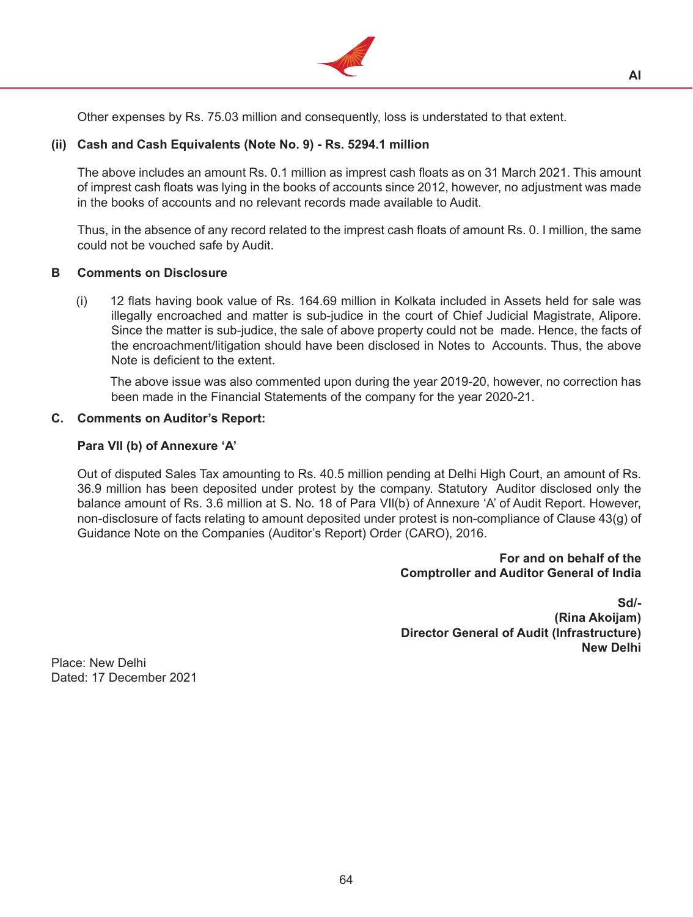

Other expenses by Rs. 75.03 million and consequently, loss is understated to that extent.

## **(ii) Cash and Cash Equivalents (Note No. 9) - Rs. 5294.1 million**

 The above includes an amount Rs. 0.1 million as imprest cash floats as on 31 March 2021. This amount of imprest cash floats was lying in the books of accounts since 2012, however, no adjustment was made in the books of accounts and no relevant records made available to Audit.

 Thus, in the absence of any record related to the imprest cash floats of amount Rs. 0. I million, the same could not be vouched safe by Audit.

## **B Comments on Disclosure**

(i) 12 flats having book value of Rs. 164.69 million in Kolkata included in Assets held for sale was illegally encroached and matter is sub-judice in the court of Chief Judicial Magistrate, Alipore. Since the matter is sub-judice, the sale of above property could not be made. Hence, the facts of the encroachment/litigation should have been disclosed in Notes to Accounts. Thus, the above Note is deficient to the extent.

 The above issue was also commented upon during the year 2019-20, however, no correction has been made in the Financial Statements of the company for the year 2020-21.

#### **C. Comments on Auditor's Report:**

## **Para VIl (b) of Annexure 'A'**

 Out of disputed Sales Tax amounting to Rs. 40.5 million pending at Delhi High Court, an amount of Rs. 36.9 million has been deposited under protest by the company. Statutory Auditor disclosed only the balance amount of Rs. 3.6 million at S. No. 18 of Para VIl(b) of Annexure 'A' of Audit Report. However, non-disclosure of facts relating to amount deposited under protest is non-compliance of Clause 43(g) of Guidance Note on the Companies (Auditor's Report) Order (CARO), 2016.

## **For and on behalf of the Comptroller and Auditor General of lndia**

**Sd/- (Rina Akoijam) Director General of Audit (Infrastructure) New Delhi**

Place: New Delhi Dated: 17 December 2021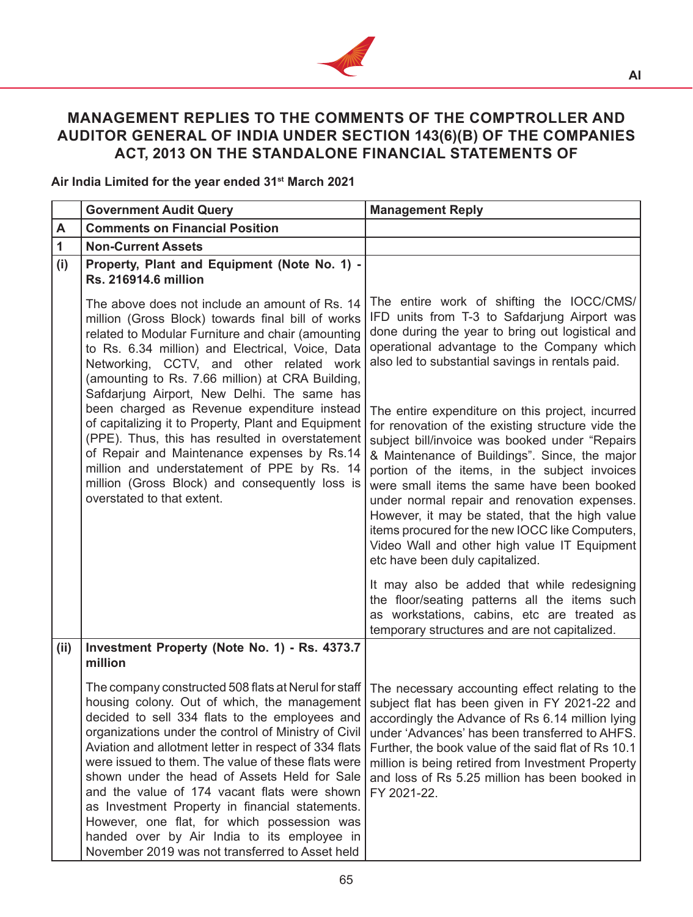

# **MANAGEMENT REPLIES TO THE COMMENTS OF THE COMPTROLLER AND AUDITOR GENERAL OF INDIA UNDER SECTION 143(6)(B) OF THE COMPANIES ACT, 2013 ON THE STANDALONE FINANCIAL STATEMENTS OF**

**Air India Limited for the year ended 31st March 2021**

|      | <b>Government Audit Query</b>                                                                                                                                                                                                                                                                                                                                                                                                                                                                                                                                                                                                                                                                                                         | <b>Management Reply</b>                                                                                                                                                                                                                                                                                                                                                                                                                                                                                                                         |
|------|---------------------------------------------------------------------------------------------------------------------------------------------------------------------------------------------------------------------------------------------------------------------------------------------------------------------------------------------------------------------------------------------------------------------------------------------------------------------------------------------------------------------------------------------------------------------------------------------------------------------------------------------------------------------------------------------------------------------------------------|-------------------------------------------------------------------------------------------------------------------------------------------------------------------------------------------------------------------------------------------------------------------------------------------------------------------------------------------------------------------------------------------------------------------------------------------------------------------------------------------------------------------------------------------------|
| A    | <b>Comments on Financial Position</b>                                                                                                                                                                                                                                                                                                                                                                                                                                                                                                                                                                                                                                                                                                 |                                                                                                                                                                                                                                                                                                                                                                                                                                                                                                                                                 |
| 1    | <b>Non-Current Assets</b>                                                                                                                                                                                                                                                                                                                                                                                                                                                                                                                                                                                                                                                                                                             |                                                                                                                                                                                                                                                                                                                                                                                                                                                                                                                                                 |
| (i)  | Property, Plant and Equipment (Note No. 1) -<br><b>Rs. 216914.6 million</b>                                                                                                                                                                                                                                                                                                                                                                                                                                                                                                                                                                                                                                                           |                                                                                                                                                                                                                                                                                                                                                                                                                                                                                                                                                 |
|      | The above does not include an amount of Rs. 14<br>million (Gross Block) towards final bill of works<br>related to Modular Furniture and chair (amounting<br>to Rs. 6.34 million) and Electrical, Voice, Data<br>Networking, CCTV, and other related work<br>(amounting to Rs. 7.66 million) at CRA Building,<br>Safdarjung Airport, New Delhi. The same has                                                                                                                                                                                                                                                                                                                                                                           | The entire work of shifting the IOCC/CMS/<br>IFD units from T-3 to Safdarjung Airport was<br>done during the year to bring out logistical and<br>operational advantage to the Company which<br>also led to substantial savings in rentals paid.                                                                                                                                                                                                                                                                                                 |
|      | been charged as Revenue expenditure instead<br>of capitalizing it to Property, Plant and Equipment<br>(PPE). Thus, this has resulted in overstatement<br>of Repair and Maintenance expenses by Rs.14<br>million and understatement of PPE by Rs. 14<br>million (Gross Block) and consequently loss is<br>overstated to that extent.                                                                                                                                                                                                                                                                                                                                                                                                   | The entire expenditure on this project, incurred<br>for renovation of the existing structure vide the<br>subject bill/invoice was booked under "Repairs<br>& Maintenance of Buildings". Since, the major<br>portion of the items, in the subject invoices<br>were small items the same have been booked<br>under normal repair and renovation expenses.<br>However, it may be stated, that the high value<br>items procured for the new IOCC like Computers,<br>Video Wall and other high value IT Equipment<br>etc have been duly capitalized. |
|      |                                                                                                                                                                                                                                                                                                                                                                                                                                                                                                                                                                                                                                                                                                                                       | It may also be added that while redesigning<br>the floor/seating patterns all the items such<br>as workstations, cabins, etc are treated as<br>temporary structures and are not capitalized.                                                                                                                                                                                                                                                                                                                                                    |
| (ii) | Investment Property (Note No. 1) - Rs. 4373.7<br>million                                                                                                                                                                                                                                                                                                                                                                                                                                                                                                                                                                                                                                                                              |                                                                                                                                                                                                                                                                                                                                                                                                                                                                                                                                                 |
|      | The company constructed 508 flats at Nerul for staff   The necessary accounting effect relating to the<br>housing colony. Out of which, the management   subject flat has been given in FY 2021-22 and  <br>decided to sell 334 flats to the employees and<br>organizations under the control of Ministry of Civil<br>Aviation and allotment letter in respect of 334 flats<br>were issued to them. The value of these flats were<br>shown under the head of Assets Held for Sale<br>and the value of 174 vacant flats were shown<br>as Investment Property in financial statements.<br>However, one flat, for which possession was<br>handed over by Air India to its employee in<br>November 2019 was not transferred to Asset held | accordingly the Advance of Rs 6.14 million lying<br>under 'Advances' has been transferred to AHFS.<br>Further, the book value of the said flat of Rs 10.1<br>million is being retired from Investment Property<br>and loss of Rs 5.25 million has been booked in<br>FY 2021-22.                                                                                                                                                                                                                                                                 |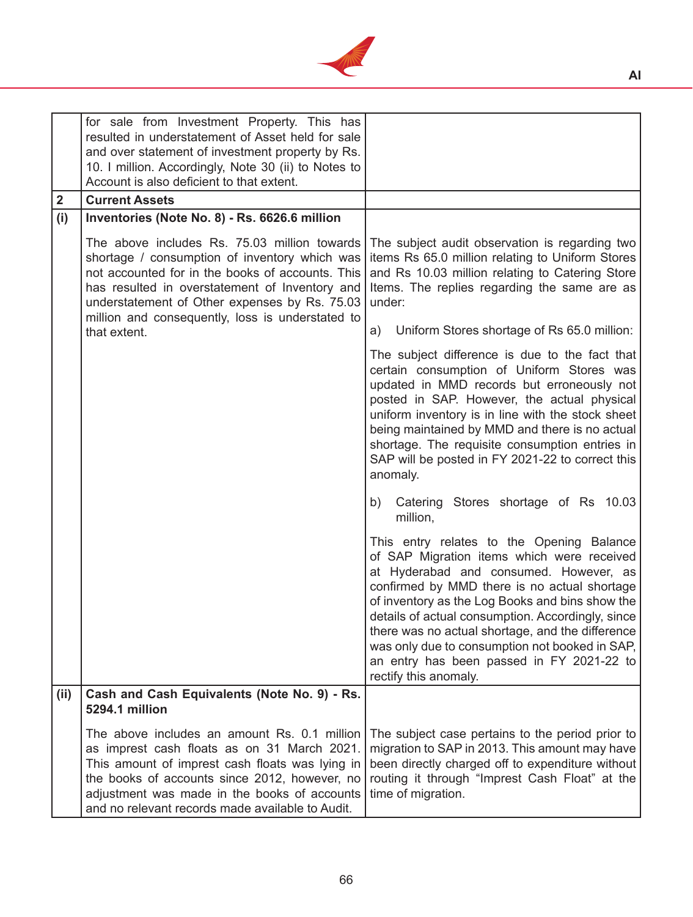

| $\boldsymbol{2}$ | for sale from Investment Property. This has<br>resulted in understatement of Asset held for sale<br>and over statement of investment property by Rs.<br>10. I million. Accordingly, Note 30 (ii) to Notes to<br>Account is also deficient to that extent.<br><b>Current Assets</b>                                                                        |                                                                                                                                                                                                                                                                                                                                                                                                                                                                       |
|------------------|-----------------------------------------------------------------------------------------------------------------------------------------------------------------------------------------------------------------------------------------------------------------------------------------------------------------------------------------------------------|-----------------------------------------------------------------------------------------------------------------------------------------------------------------------------------------------------------------------------------------------------------------------------------------------------------------------------------------------------------------------------------------------------------------------------------------------------------------------|
|                  |                                                                                                                                                                                                                                                                                                                                                           |                                                                                                                                                                                                                                                                                                                                                                                                                                                                       |
| (i)              | Inventories (Note No. 8) - Rs. 6626.6 million<br>The above includes Rs. 75.03 million towards<br>shortage / consumption of inventory which was<br>not accounted for in the books of accounts. This<br>has resulted in overstatement of Inventory and<br>understatement of Other expenses by Rs. 75.03<br>million and consequently, loss is understated to | The subject audit observation is regarding two<br>items Rs 65.0 million relating to Uniform Stores<br>and Rs 10.03 million relating to Catering Store<br>Items. The replies regarding the same are as<br>under:                                                                                                                                                                                                                                                       |
|                  | that extent.                                                                                                                                                                                                                                                                                                                                              | Uniform Stores shortage of Rs 65.0 million:<br>a)                                                                                                                                                                                                                                                                                                                                                                                                                     |
|                  |                                                                                                                                                                                                                                                                                                                                                           | The subject difference is due to the fact that<br>certain consumption of Uniform Stores was<br>updated in MMD records but erroneously not<br>posted in SAP. However, the actual physical<br>uniform inventory is in line with the stock sheet<br>being maintained by MMD and there is no actual<br>shortage. The requisite consumption entries in<br>SAP will be posted in FY 2021-22 to correct this<br>anomaly.                                                     |
|                  |                                                                                                                                                                                                                                                                                                                                                           | b) Catering Stores shortage of Rs 10.03<br>million,                                                                                                                                                                                                                                                                                                                                                                                                                   |
|                  |                                                                                                                                                                                                                                                                                                                                                           | This entry relates to the Opening Balance<br>of SAP Migration items which were received<br>at Hyderabad and consumed. However, as<br>confirmed by MMD there is no actual shortage<br>of inventory as the Log Books and bins show the<br>details of actual consumption. Accordingly, since<br>there was no actual shortage, and the difference<br>was only due to consumption not booked in SAP,<br>an entry has been passed in FY 2021-22 to<br>rectify this anomaly. |
| (ii)             | Cash and Cash Equivalents (Note No. 9) - Rs.<br><b>5294.1 million</b>                                                                                                                                                                                                                                                                                     |                                                                                                                                                                                                                                                                                                                                                                                                                                                                       |
|                  | The above includes an amount Rs. 0.1 million<br>as imprest cash floats as on 31 March 2021.<br>This amount of imprest cash floats was lying in<br>the books of accounts since 2012, however, no<br>adjustment was made in the books of accounts<br>and no relevant records made available to Audit.                                                       | The subject case pertains to the period prior to<br>migration to SAP in 2013. This amount may have<br>been directly charged off to expenditure without<br>routing it through "Imprest Cash Float" at the<br>time of migration.                                                                                                                                                                                                                                        |